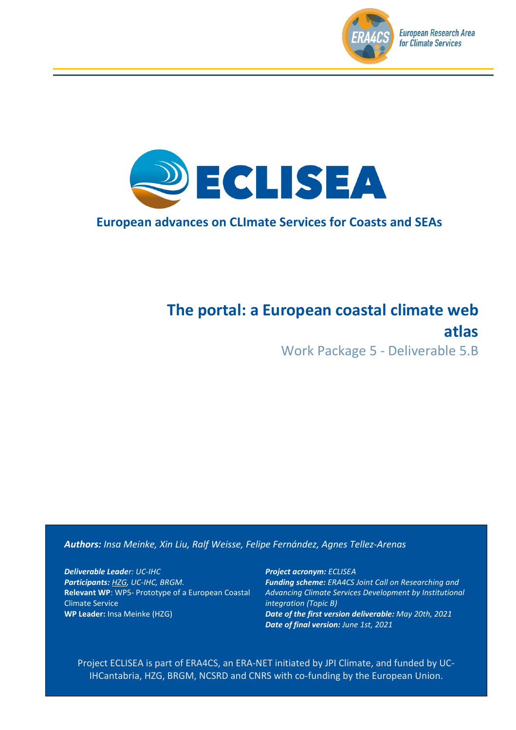



### **European advances on CLImate Services for Coasts and SEAs**

# **The portal: a European coastal climate web atlas** Work Package 5 - Deliverable 5.B

#### *Authors: Insa Meinke, Xin Liu, Ralf Weisse, Felipe Fernández, Agnes Tellez-Arenas*

*Deliverable Leader: UC-IHC Participants: HZG, UC-IHC, BRGM.* **Relevant WP**: WP5- Prototype of a European Coastal Climate Service **WP Leader:** Insa Meinke (HZG)

*Project acronym: ECLISEA Funding scheme: ERA4CS Joint Call on Researching and Advancing Climate Services Development by Institutional integration (Topic B) Date of the first version deliverable: May 20th, 2021 Date of final version: June 1st, 2021*

Project ECLISEA is part of ERA4CS, an ERA-NET initiated by JPI Climate, and funded by UC-IHCantabria, HZG, BRGM, NCSRD and CNRS with co-funding by the European Union.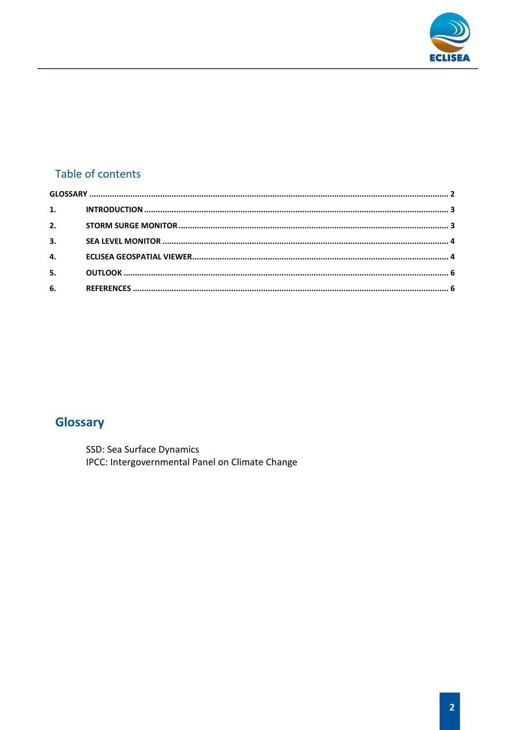

## Table of contents

| 3. |  |
|----|--|
|    |  |
| 5. |  |
|    |  |

# <span id="page-1-0"></span>Glossary

SSD: Sea Surface Dynamics IPCC: Intergovernmental Panel on Climate Change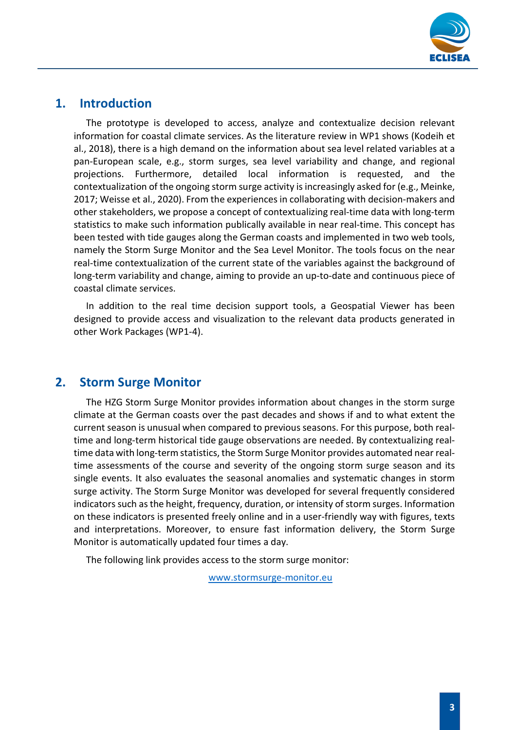

#### <span id="page-2-0"></span>**1. Introduction**

The prototype is developed to access, analyze and contextualize decision relevant information for coastal climate services. As the literature review in WP1 shows (Kodeih et al., 2018), there is a high demand on the information about sea level related variables at a pan-European scale, e.g., storm surges, sea level variability and change, and regional projections. Furthermore, detailed local information is requested, and the contextualization of the ongoing storm surge activity is increasingly asked for (e.g., Meinke, 2017; Weisse et al., 2020). From the experiences in collaborating with decision-makers and other stakeholders, we propose a concept of contextualizing real-time data with long-term statistics to make such information publically available in near real-time. This concept has been tested with tide gauges along the German coasts and implemented in two web tools, namely the Storm Surge Monitor and the Sea Level Monitor. The tools focus on the near real-time contextualization of the current state of the variables against the background of long-term variability and change, aiming to provide an up-to-date and continuous piece of coastal climate services.

In addition to the real time decision support tools, a Geospatial Viewer has been designed to provide access and visualization to the relevant data products generated in other Work Packages (WP1-4).

#### <span id="page-2-1"></span>**2. Storm Surge Monitor**

The HZG Storm Surge Monitor provides information about changes in the storm surge climate at the German coasts over the past decades and shows if and to what extent the current season is unusual when compared to previous seasons. For this purpose, both realtime and long-term historical tide gauge observations are needed. By contextualizing realtime data with long-term statistics, the Storm Surge Monitor provides automated near realtime assessments of the course and severity of the ongoing storm surge season and its single events. It also evaluates the seasonal anomalies and systematic changes in storm surge activity. The Storm Surge Monitor was developed for several frequently considered indicators such as the height, frequency, duration, or intensity of storm surges. Information on these indicators is presented freely online and in a user-friendly way with figures, texts and interpretations. Moreover, to ensure fast information delivery, the Storm Surge Monitor is automatically updated four times a day.

The following link provides access to the storm surge monitor:

[www.stormsurge-monitor.eu](http://www.stormsurge-monitor.eu/)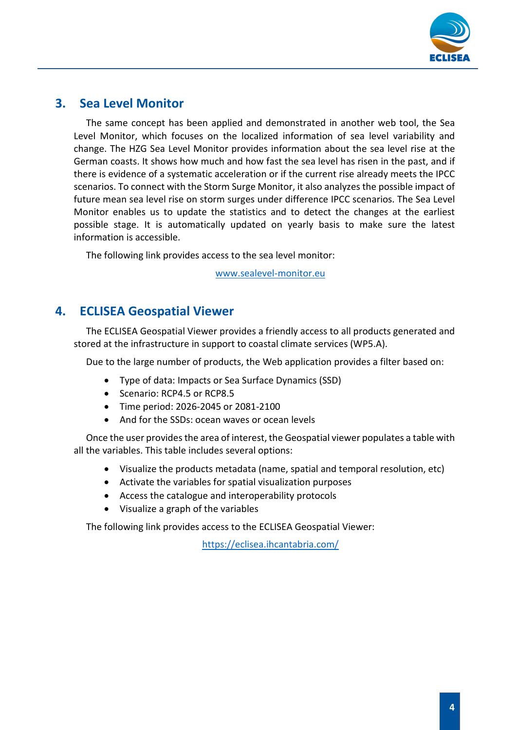

### <span id="page-3-0"></span>**3. Sea Level Monitor**

The same concept has been applied and demonstrated in another web tool, the Sea Level Monitor, which focuses on the localized information of sea level variability and change. The HZG Sea Level Monitor provides information about the sea level rise at the German coasts. It shows how much and how fast the sea level has risen in the past, and if there is evidence of a systematic acceleration or if the current rise already meets the IPCC scenarios. To connect with the Storm Surge Monitor, it also analyzes the possible impact of future mean sea level rise on storm surges under difference IPCC scenarios. The Sea Level Monitor enables us to update the statistics and to detect the changes at the earliest possible stage. It is automatically updated on yearly basis to make sure the latest information is accessible.

The following link provides access to the sea level monitor:

[www.sealevel-monitor.eu](http://www.sealevel-monitor.eu/)

### <span id="page-3-1"></span>**4. ECLISEA Geospatial Viewer**

The ECLISEA Geospatial Viewer provides a friendly access to all products generated and stored at the infrastructure in support to coastal climate services (WP5.A).

Due to the large number of products, the Web application provides a filter based on:

- Type of data: Impacts or Sea Surface Dynamics (SSD)
- Scenario: RCP4.5 or RCP8.5
- Time period: 2026-2045 or 2081-2100
- And for the SSDs: ocean waves or ocean levels

Once the user provides the area of interest, the Geospatial viewer populates a table with all the variables. This table includes several options:

- Visualize the products metadata (name, spatial and temporal resolution, etc)
- Activate the variables for spatial visualization purposes
- Access the catalogue and interoperability protocols
- Visualize a graph of the variables

The following link provides access to the ECLISEA Geospatial Viewer:

<https://eclisea.ihcantabria.com/>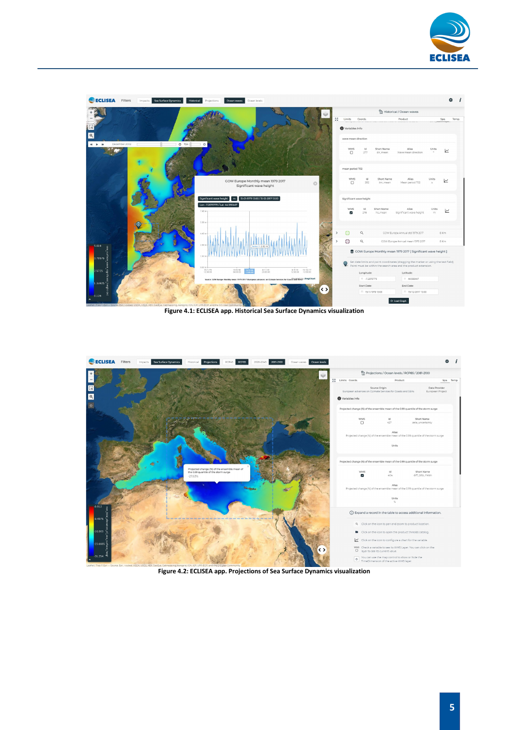



**Figure 4.1: ECLISEA app. Historical Sea Surface Dynamics visualization**



**Figure 4.2: ECLISEA app. Projections of Sea Surface Dynamics visualization**